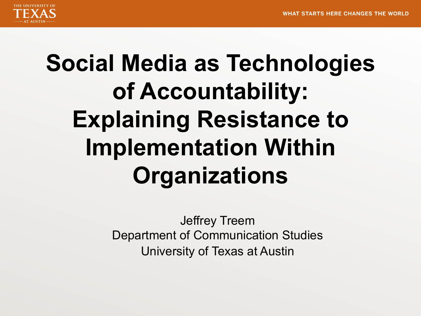

# **Social Media as Technologies of Accountability: Explaining Resistance to Implementation Within Organizations**

Jeffrey Treem Department of Communication Studies University of Texas at Austin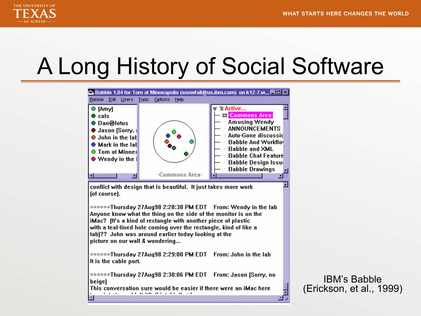

## A Long History of Social Software



 $====Thursdav 27Auq98 2:28:38 PM EDT From: Wendy in the lab$ Anyone know what the thing on the side of the monitor is on the iMac? (It's a kind of rectangle with another piece of plastic with a teal-lined hole coming over the rectangle, kind of like a tab)?? John was around earlier today looking at the picture on our wall & wondering...

======Thursday 27Aug98 2:29:00 PM EDT From: John in the lab It is the cable port.

======Thursday 27Aug98 2:30:06 PM EDT From: Jason [Sorry, no beigel

This conversation sure would be easier if there were an iMac here  $\mathbf{a} \cdot \mathbf{a} \cdot \mathbf{a} \cdot \mathbf{a} \cdot \mathbf{a} \cdot \mathbf{a} \cdot \mathbf{a} \cdot \mathbf{a} \cdot \mathbf{a} \cdot \mathbf{a} \cdot \mathbf{a} \cdot \mathbf{a} \cdot \mathbf{a} \cdot \mathbf{a} \cdot \mathbf{a} \cdot \mathbf{a} \cdot \mathbf{a} \cdot \mathbf{a} \cdot \mathbf{a} \cdot \mathbf{a} \cdot \mathbf{a} \cdot \mathbf{a} \cdot \mathbf{a} \cdot \mathbf{a} \cdot \mathbf{a} \cdot \mathbf{a} \cdot \mathbf{a} \cdot \mathbf{$  $\cdot$  . .

IBM's Babble (Erickson, et al., 1999)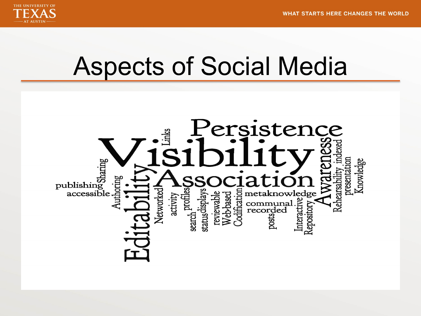

## Aspects of Social Media

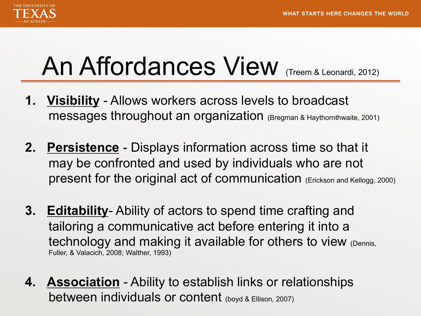

# An Affordances View (Treem & Leonardi, 2012)

- **1. Visibility** Allows workers across levels to broadcast messages throughout an organization (Bregman & Haythornthwaite, 2001)
- **2. Persistence** Displays information across time so that it may be confronted and used by individuals who are not present for the original act of communication (Erickson and Kellogg, 2000)
- **3. Editability** Ability of actors to spend time crafting and tailoring a communicative act before entering it into a technology and making it available for others to view (Dennis, Fuller, & Valacich, 2008; Walther, 1993)
- **4. Association** Ability to establish links or relationships between individuals or content (boyd & Ellison, 2007)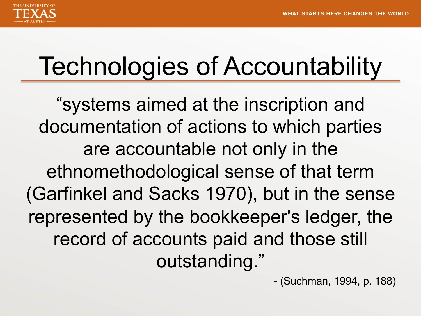

# Technologies of Accountability

"systems aimed at the inscription and documentation of actions to which parties are accountable not only in the ethnomethodological sense of that term (Garfinkel and Sacks 1970), but in the sense represented by the bookkeeper's ledger, the record of accounts paid and those still outstanding."

- (Suchman, 1994, p. 188)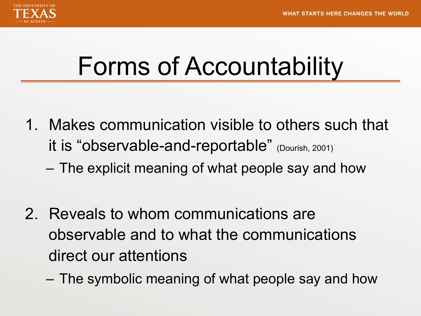

## Forms of Accountability

- 1. Makes communication visible to others such that it is "observable-and-reportable" (Dourish, 2001)
	- The explicit meaning of what people say and how
- 2. Reveals to whom communications are observable and to what the communications direct our attentions
	- The symbolic meaning of what people say and how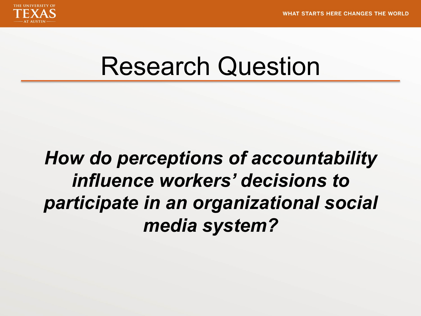

### Research Question

#### *How do perceptions of accountability influence workers' decisions to participate in an organizational social media system?*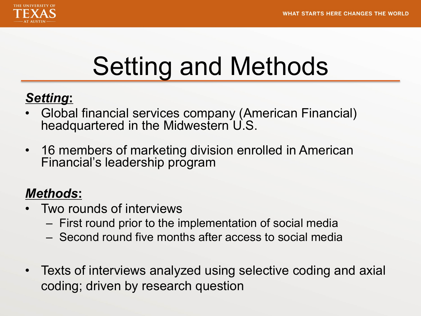

# Setting and Methods

#### *Setting***:**

- Global financial services company (American Financial) headquartered in the Midwestern U.S.
- 16 members of marketing division enrolled in American Financial's leadership program

#### *Methods***:**

- Two rounds of interviews
	- First round prior to the implementation of social media
	- Second round five months after access to social media
- Texts of interviews analyzed using selective coding and axial coding; driven by research question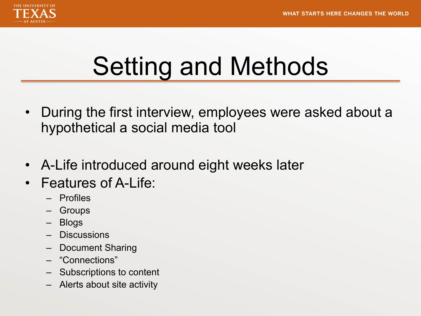

# Setting and Methods

- During the first interview, employees were asked about a hypothetical a social media tool
- A-Life introduced around eight weeks later
- Features of A-Life:
	- Profiles
	- Groups
	- Blogs
	- Discussions
	- Document Sharing
	- "Connections"
	- Subscriptions to content
	- Alerts about site activity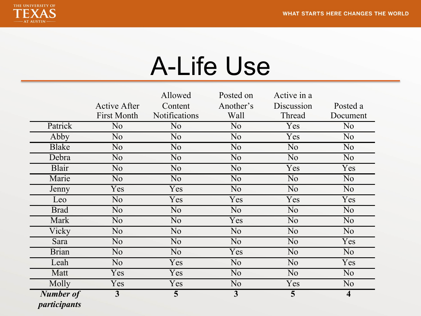

# A-Life Use

|                                         |                                           | Allowed                         | Posted on         | Active in a          |                         |
|-----------------------------------------|-------------------------------------------|---------------------------------|-------------------|----------------------|-------------------------|
|                                         | <b>Active After</b><br><b>First Month</b> | Content<br><b>Notifications</b> | Another's<br>Wall | Discussion<br>Thread | Posted a<br>Document    |
| Patrick                                 | N <sub>o</sub>                            | N <sub>o</sub>                  | N <sub>o</sub>    | Yes                  | N <sub>o</sub>          |
| Abby                                    | N <sub>o</sub>                            | N <sub>o</sub>                  | N <sub>o</sub>    | Yes                  | N <sub>o</sub>          |
| <b>Blake</b>                            | N <sub>o</sub>                            | N <sub>o</sub>                  | N <sub>o</sub>    | N <sub>o</sub>       | N <sub>o</sub>          |
| Debra                                   | N <sub>o</sub>                            | N <sub>o</sub>                  | N <sub>o</sub>    | N <sub>o</sub>       | N <sub>o</sub>          |
| Blair                                   | N <sub>o</sub>                            | N <sub>o</sub>                  | N <sub>o</sub>    | Yes                  | Yes                     |
| Marie                                   | N <sub>o</sub>                            | N <sub>o</sub>                  | N <sub>o</sub>    | N <sub>o</sub>       | N <sub>o</sub>          |
| Jenny                                   | Yes                                       | Yes                             | N <sub>o</sub>    | N <sub>o</sub>       | N <sub>o</sub>          |
| Leo                                     | N <sub>o</sub>                            | Yes                             | Yes               | Yes                  | Yes                     |
| <b>Brad</b>                             | N <sub>o</sub>                            | N <sub>0</sub>                  | N <sub>0</sub>    | N <sub>0</sub>       | N <sub>o</sub>          |
| Mark                                    | N <sub>o</sub>                            | N <sub>o</sub>                  | Yes               | N <sub>o</sub>       | N <sub>o</sub>          |
| Vicky                                   | N <sub>o</sub>                            | N <sub>o</sub>                  | N <sub>o</sub>    | N <sub>o</sub>       | N <sub>o</sub>          |
| Sara                                    | N <sub>o</sub>                            | N <sub>o</sub>                  | N <sub>o</sub>    | N <sub>o</sub>       | Yes                     |
| <b>Brian</b>                            | N <sub>o</sub>                            | N <sub>0</sub>                  | Yes               | N <sub>o</sub>       | N <sub>o</sub>          |
| Leah                                    | N <sub>o</sub>                            | Yes                             | N <sub>0</sub>    | N <sub>o</sub>       | Yes                     |
| Matt                                    | Yes                                       | Yes                             | N <sub>o</sub>    | N <sub>o</sub>       | N <sub>o</sub>          |
| Molly                                   | Yes                                       | Yes                             | N <sub>o</sub>    | Yes                  | N <sub>o</sub>          |
| <b>Number of</b><br><i>participants</i> | $\overline{3}$                            | 5                               | $\overline{3}$    | 5                    | $\overline{\mathbf{4}}$ |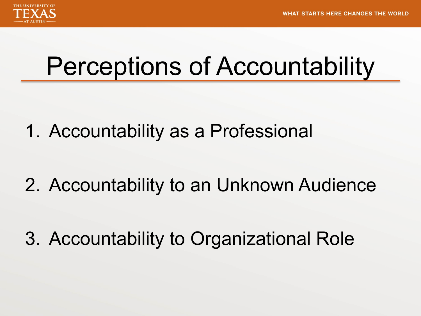

## Perceptions of Accountability

1. Accountability as a Professional

2. Accountability to an Unknown Audience

3. Accountability to Organizational Role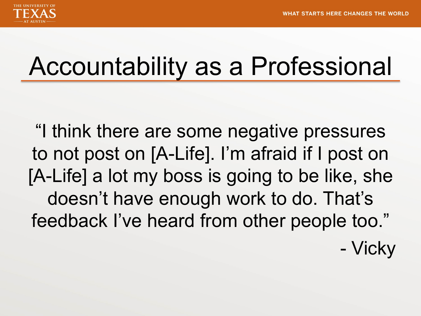

## Accountability as a Professional

"I think there are some negative pressures to not post on [A-Life]. I'm afraid if I post on [A-Life] a lot my boss is going to be like, she doesn't have enough work to do. That's feedback I've heard from other people too."

- Vicky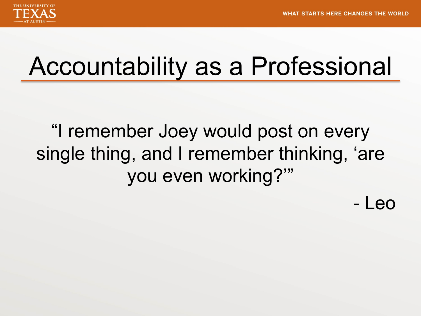

## Accountability as a Professional

"I remember Joey would post on every single thing, and I remember thinking, 'are you even working?'"

- Leo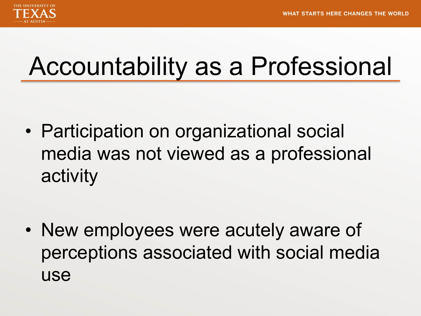

# Accountability as a Professional

• Participation on organizational social media was not viewed as a professional activity

• New employees were acutely aware of perceptions associated with social media use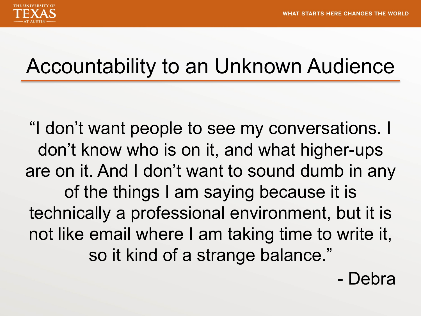

#### Accountability to an Unknown Audience

"I don't want people to see my conversations. I don't know who is on it, and what higher-ups are on it. And I don't want to sound dumb in any of the things I am saying because it is technically a professional environment, but it is not like email where I am taking time to write it, so it kind of a strange balance."

- Debra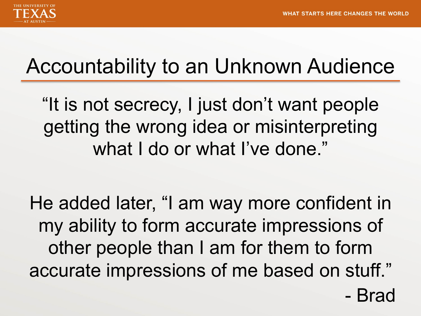

#### Accountability to an Unknown Audience

"It is not secrecy, I just don't want people getting the wrong idea or misinterpreting what I do or what I've done."

He added later, "I am way more confident in my ability to form accurate impressions of other people than I am for them to form accurate impressions of me based on stuff."

- Brad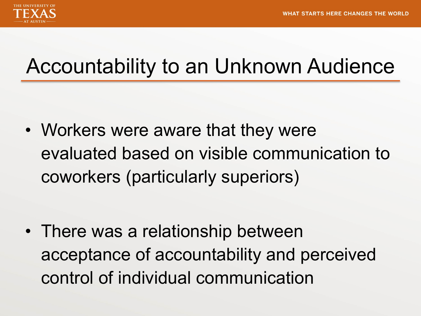

#### Accountability to an Unknown Audience

• Workers were aware that they were evaluated based on visible communication to coworkers (particularly superiors)

• There was a relationship between acceptance of accountability and perceived control of individual communication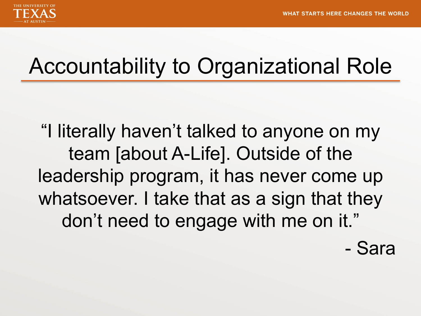

### Accountability to Organizational Role

"I literally haven't talked to anyone on my team [about A-Life]. Outside of the leadership program, it has never come up whatsoever. I take that as a sign that they don't need to engage with me on it."

- Sara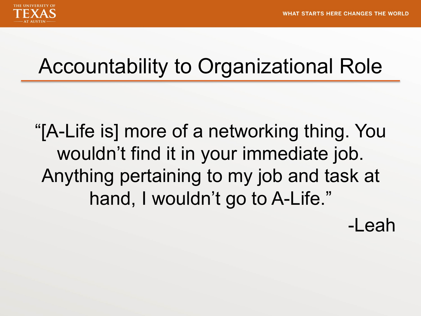

#### Accountability to Organizational Role

"[A-Life is] more of a networking thing. You wouldn't find it in your immediate job. Anything pertaining to my job and task at hand, I wouldn't go to A-Life."

-Leah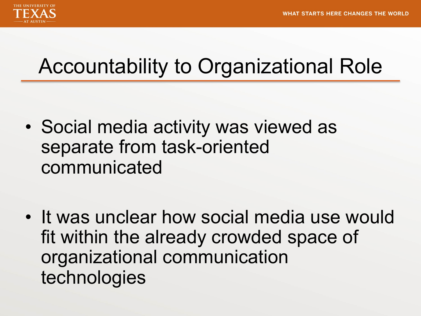

#### Accountability to Organizational Role

- Social media activity was viewed as separate from task-oriented communicated
- It was unclear how social media use would fit within the already crowded space of organizational communication technologies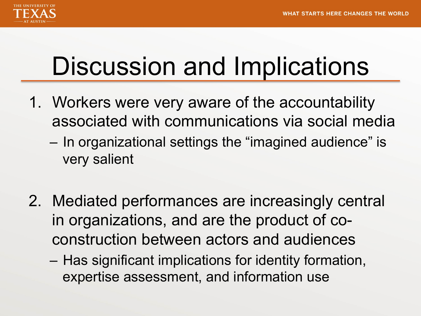

# Discussion and Implications

- 1. Workers were very aware of the accountability associated with communications via social media
	- In organizational settings the "imagined audience" is very salient
- 2. Mediated performances are increasingly central in organizations, and are the product of coconstruction between actors and audiences
	- Has significant implications for identity formation, expertise assessment, and information use